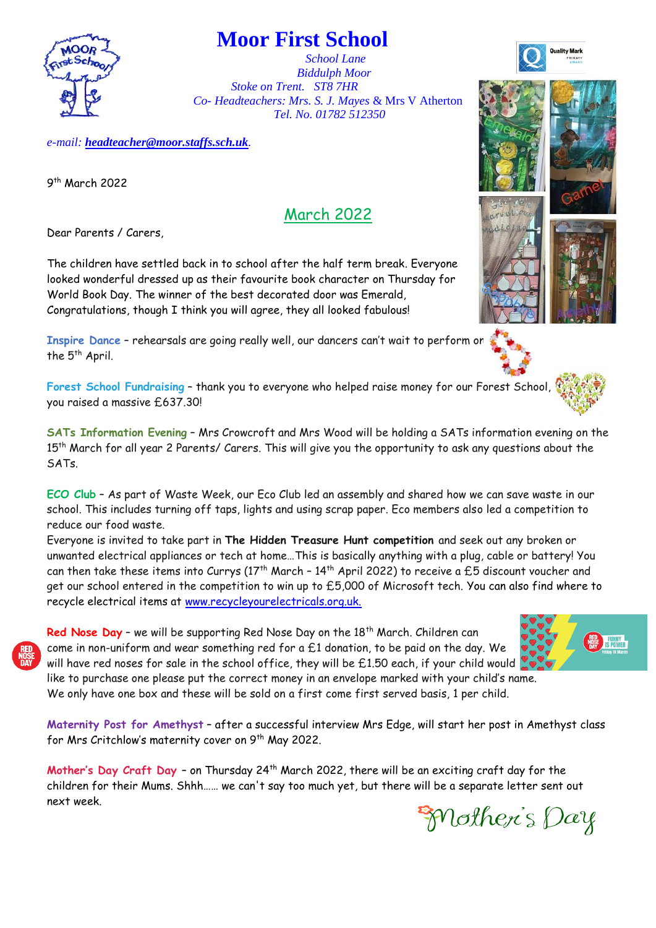

## **Moor First School**

 *School Lane Biddulph Moor Stoke on Trent. ST8 7HR Co- Headteachers: Mrs. S. J. Mayes* & Mrs V Atherton *Tel. No. 01782 512350*

*e-mail: [headteacher@moor.staffs.sch.uk](mailto:headteacher@moor.staffs.sch.uk).* 

9 th March 2022

## March 2022

Dear Parents / Carers,

The children have settled back in to school after the half term break. Everyone looked wonderful dressed up as their favourite book character on Thursday for World Book Day. The winner of the best decorated door was Emerald, Congratulations, though I think you will agree, they all looked fabulous!

**Inspire Dance** – rehearsals are going really well, our dancers can't wait to perform on the 5<sup>th</sup> April.

**Forest School Fundraising** – thank you to everyone who helped raise money for our Forest School, you raised a massive £637.30!

**SATs Information Evening** – Mrs Crowcroft and Mrs Wood will be holding a SATs information evening on the 15<sup>th</sup> March for all year 2 Parents/ Carers. This will give you the opportunity to ask any questions about the SATs.

**ECO Club** – As part of Waste Week, our Eco Club led an assembly and shared how we can save waste in our school. This includes turning off taps, lights and using scrap paper. Eco members also led a competition to reduce our food waste.

Everyone is invited to take part in **The Hidden Treasure Hunt competition** and seek out any broken or unwanted electrical appliances or tech at home…This is basically anything with a plug, cable or battery! You can then take these items into Currys (17<sup>th</sup> March - 14<sup>th</sup> April 2022) to receive a £5 discount voucher and get our school entered in the competition to win up to £5,000 of Microsoft tech. You can also find where to recycle electrical items at [www.recycleyourelectricals.org.uk.](http://www.recycleyourelectricals.org.uk/)

**Red Nose Day** - we will be supporting Red Nose Day on the 18<sup>th</sup> March. Children can come in non-uniform and wear something red for a  $E1$  donation, to be paid on the day. We will have red noses for sale in the school office, they will be £1.50 each, if your child would like to purchase one please put the correct money in an envelope marked with your child's name.

**Maternity Post for Amethyst** – after a successful interview Mrs Edge, will start her post in Amethyst class for Mrs Critchlow's maternity cover on 9<sup>th</sup> May 2022.

We only have one box and these will be sold on a first come first served basis, 1 per child.

Mother's Day Craft Day - on Thursday 24<sup>th</sup> March 2022, there will be an exciting craft day for the children for their Mums. Shhh…… we can't say too much yet, but there will be a separate letter sent out next week.